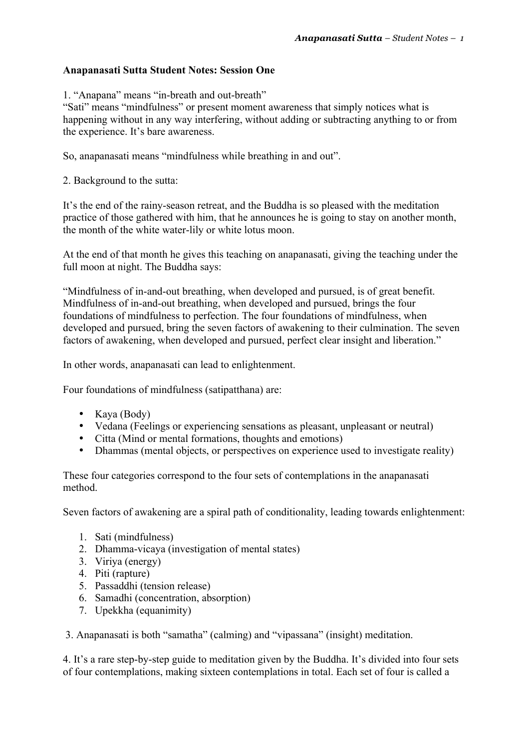### **Anapanasati Sutta Student Notes: Session One**

1. "Anapana" means "in-breath and out-breath"

"Sati" means "mindfulness" or present moment awareness that simply notices what is happening without in any way interfering, without adding or subtracting anything to or from the experience. It's bare awareness.

So, anapanasati means "mindfulness while breathing in and out".

2. Background to the sutta:

It's the end of the rainy-season retreat, and the Buddha is so pleased with the meditation practice of those gathered with him, that he announces he is going to stay on another month, the month of the white water-lily or white lotus moon.

At the end of that month he gives this teaching on anapanasati, giving the teaching under the full moon at night. The Buddha says:

"Mindfulness of in-and-out breathing, when developed and pursued, is of great benefit. Mindfulness of in-and-out breathing, when developed and pursued, brings the four foundations of mindfulness to perfection. The four foundations of mindfulness, when developed and pursued, bring the seven factors of awakening to their culmination. The seven factors of awakening, when developed and pursued, perfect clear insight and liberation."

In other words, anapanasati can lead to enlightenment.

Four foundations of mindfulness (satipatthana) are:

- Kaya (Body)
- Vedana (Feelings or experiencing sensations as pleasant, unpleasant or neutral)
- Citta (Mind or mental formations, thoughts and emotions)
- Dhammas (mental objects, or perspectives on experience used to investigate reality)

These four categories correspond to the four sets of contemplations in the anapanasati method.

Seven factors of awakening are a spiral path of conditionality, leading towards enlightenment:

- 1. Sati (mindfulness)
- 2. Dhamma-vicaya (investigation of mental states)
- 3. Viriya (energy)
- 4. Piti (rapture)
- 5. Passaddhi (tension release)
- 6. Samadhi (concentration, absorption)
- 7. Upekkha (equanimity)

3. Anapanasati is both "samatha" (calming) and "vipassana" (insight) meditation.

4. It's a rare step-by-step guide to meditation given by the Buddha. It's divided into four sets of four contemplations, making sixteen contemplations in total. Each set of four is called a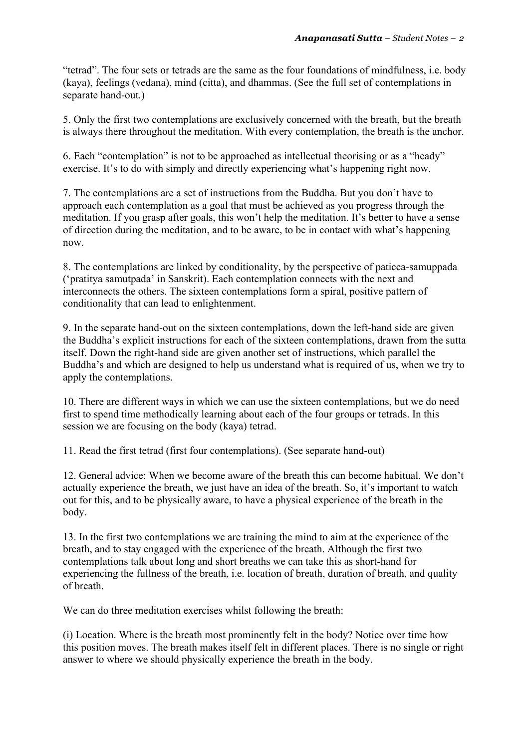"tetrad". The four sets or tetrads are the same as the four foundations of mindfulness, i.e. body (kaya), feelings (vedana), mind (citta), and dhammas. (See the full set of contemplations in separate hand-out.)

5. Only the first two contemplations are exclusively concerned with the breath, but the breath is always there throughout the meditation. With every contemplation, the breath is the anchor.

6. Each "contemplation" is not to be approached as intellectual theorising or as a "heady" exercise. It's to do with simply and directly experiencing what's happening right now.

7. The contemplations are a set of instructions from the Buddha. But you don't have to approach each contemplation as a goal that must be achieved as you progress through the meditation. If you grasp after goals, this won't help the meditation. It's better to have a sense of direction during the meditation, and to be aware, to be in contact with what's happening now.

8. The contemplations are linked by conditionality, by the perspective of paticca-samuppada ('pratitya samutpada' in Sanskrit). Each contemplation connects with the next and interconnects the others. The sixteen contemplations form a spiral, positive pattern of conditionality that can lead to enlightenment.

9. In the separate hand-out on the sixteen contemplations, down the left-hand side are given the Buddha's explicit instructions for each of the sixteen contemplations, drawn from the sutta itself. Down the right-hand side are given another set of instructions, which parallel the Buddha's and which are designed to help us understand what is required of us, when we try to apply the contemplations.

10. There are different ways in which we can use the sixteen contemplations, but we do need first to spend time methodically learning about each of the four groups or tetrads. In this session we are focusing on the body (kaya) tetrad.

11. Read the first tetrad (first four contemplations). (See separate hand-out)

12. General advice: When we become aware of the breath this can become habitual. We don't actually experience the breath, we just have an idea of the breath. So, it's important to watch out for this, and to be physically aware, to have a physical experience of the breath in the body.

13. In the first two contemplations we are training the mind to aim at the experience of the breath, and to stay engaged with the experience of the breath. Although the first two contemplations talk about long and short breaths we can take this as short-hand for experiencing the fullness of the breath, i.e. location of breath, duration of breath, and quality of breath.

We can do three meditation exercises whilst following the breath:

(i) Location. Where is the breath most prominently felt in the body? Notice over time how this position moves. The breath makes itself felt in different places. There is no single or right answer to where we should physically experience the breath in the body.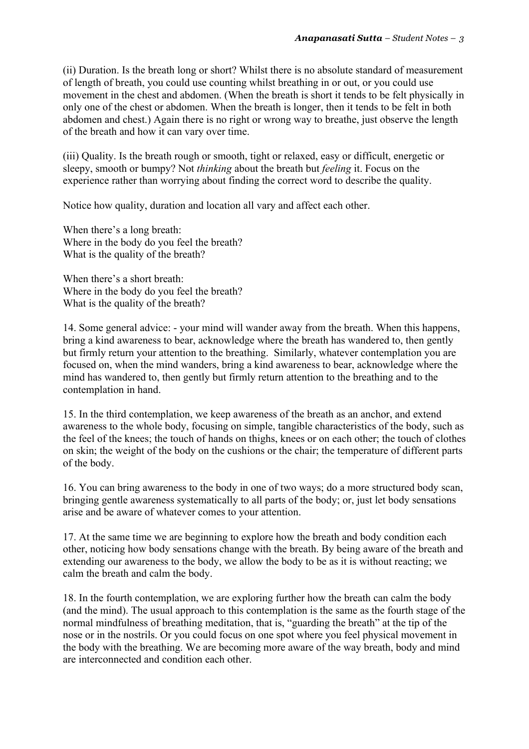(ii) Duration. Is the breath long or short? Whilst there is no absolute standard of measurement of length of breath, you could use counting whilst breathing in or out, or you could use movement in the chest and abdomen. (When the breath is short it tends to be felt physically in only one of the chest or abdomen. When the breath is longer, then it tends to be felt in both abdomen and chest.) Again there is no right or wrong way to breathe, just observe the length of the breath and how it can vary over time.

(iii) Quality. Is the breath rough or smooth, tight or relaxed, easy or difficult, energetic or sleepy, smooth or bumpy? Not *thinking* about the breath but *feeling* it. Focus on the experience rather than worrying about finding the correct word to describe the quality.

Notice how quality, duration and location all vary and affect each other.

When there's a long breath: Where in the body do you feel the breath? What is the quality of the breath?

When there's a short breath: Where in the body do you feel the breath? What is the quality of the breath?

14. Some general advice: - your mind will wander away from the breath. When this happens, bring a kind awareness to bear, acknowledge where the breath has wandered to, then gently but firmly return your attention to the breathing. Similarly, whatever contemplation you are focused on, when the mind wanders, bring a kind awareness to bear, acknowledge where the mind has wandered to, then gently but firmly return attention to the breathing and to the contemplation in hand.

15. In the third contemplation, we keep awareness of the breath as an anchor, and extend awareness to the whole body, focusing on simple, tangible characteristics of the body, such as the feel of the knees; the touch of hands on thighs, knees or on each other; the touch of clothes on skin; the weight of the body on the cushions or the chair; the temperature of different parts of the body.

16. You can bring awareness to the body in one of two ways; do a more structured body scan, bringing gentle awareness systematically to all parts of the body; or, just let body sensations arise and be aware of whatever comes to your attention.

17. At the same time we are beginning to explore how the breath and body condition each other, noticing how body sensations change with the breath. By being aware of the breath and extending our awareness to the body, we allow the body to be as it is without reacting; we calm the breath and calm the body.

18. In the fourth contemplation, we are exploring further how the breath can calm the body (and the mind). The usual approach to this contemplation is the same as the fourth stage of the normal mindfulness of breathing meditation, that is, "guarding the breath" at the tip of the nose or in the nostrils. Or you could focus on one spot where you feel physical movement in the body with the breathing. We are becoming more aware of the way breath, body and mind are interconnected and condition each other.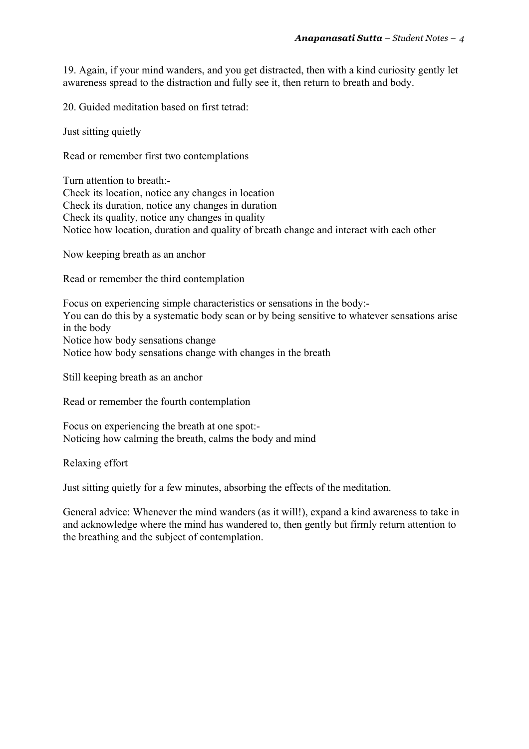19. Again, if your mind wanders, and you get distracted, then with a kind curiosity gently let awareness spread to the distraction and fully see it, then return to breath and body.

20. Guided meditation based on first tetrad:

Just sitting quietly

Read or remember first two contemplations

Turn attention to breath:- Check its location, notice any changes in location Check its duration, notice any changes in duration Check its quality, notice any changes in quality Notice how location, duration and quality of breath change and interact with each other

Now keeping breath as an anchor

Read or remember the third contemplation

Focus on experiencing simple characteristics or sensations in the body:- You can do this by a systematic body scan or by being sensitive to whatever sensations arise in the body Notice how body sensations change Notice how body sensations change with changes in the breath

Still keeping breath as an anchor

Read or remember the fourth contemplation

Focus on experiencing the breath at one spot:- Noticing how calming the breath, calms the body and mind

Relaxing effort

Just sitting quietly for a few minutes, absorbing the effects of the meditation.

General advice: Whenever the mind wanders (as it will!), expand a kind awareness to take in and acknowledge where the mind has wandered to, then gently but firmly return attention to the breathing and the subject of contemplation.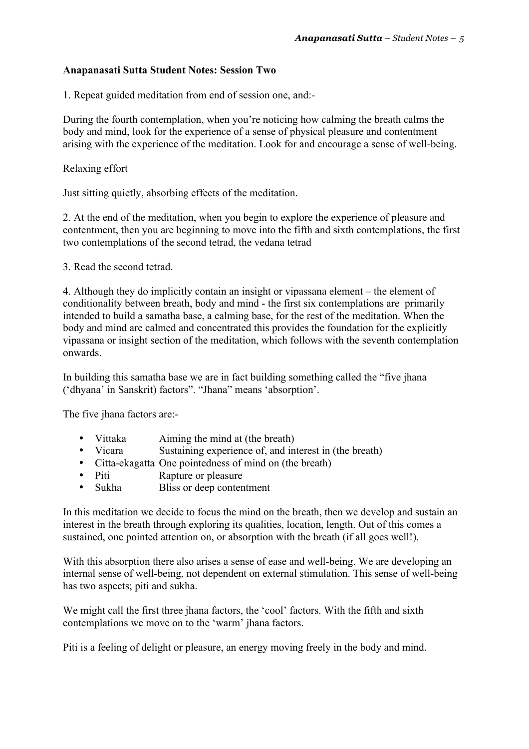### **Anapanasati Sutta Student Notes: Session Two**

1. Repeat guided meditation from end of session one, and:-

During the fourth contemplation, when you're noticing how calming the breath calms the body and mind, look for the experience of a sense of physical pleasure and contentment arising with the experience of the meditation. Look for and encourage a sense of well-being.

Relaxing effort

Just sitting quietly, absorbing effects of the meditation.

2. At the end of the meditation, when you begin to explore the experience of pleasure and contentment, then you are beginning to move into the fifth and sixth contemplations, the first two contemplations of the second tetrad, the vedana tetrad

3. Read the second tetrad.

4. Although they do implicitly contain an insight or vipassana element – the element of conditionality between breath, body and mind - the first six contemplations are primarily intended to build a samatha base, a calming base, for the rest of the meditation. When the body and mind are calmed and concentrated this provides the foundation for the explicitly vipassana or insight section of the meditation, which follows with the seventh contemplation onwards.

In building this samatha base we are in fact building something called the "five jhana ('dhyana' in Sanskrit) factors". "Jhana" means 'absorption'.

The five jhana factors are:-

- Vittaka Aiming the mind at (the breath)
- Vicara Sustaining experience of, and interest in (the breath)
- Citta-ekagatta One pointedness of mind on (the breath)<br>• Piti Ranture or pleasure
- Rapture or pleasure
- Sukha Bliss or deep contentment

In this meditation we decide to focus the mind on the breath, then we develop and sustain an interest in the breath through exploring its qualities, location, length. Out of this comes a sustained, one pointed attention on, or absorption with the breath (if all goes well!).

With this absorption there also arises a sense of ease and well-being. We are developing an internal sense of well-being, not dependent on external stimulation. This sense of well-being has two aspects; piti and sukha.

We might call the first three jhana factors, the 'cool' factors. With the fifth and sixth contemplations we move on to the 'warm' jhana factors.

Piti is a feeling of delight or pleasure, an energy moving freely in the body and mind.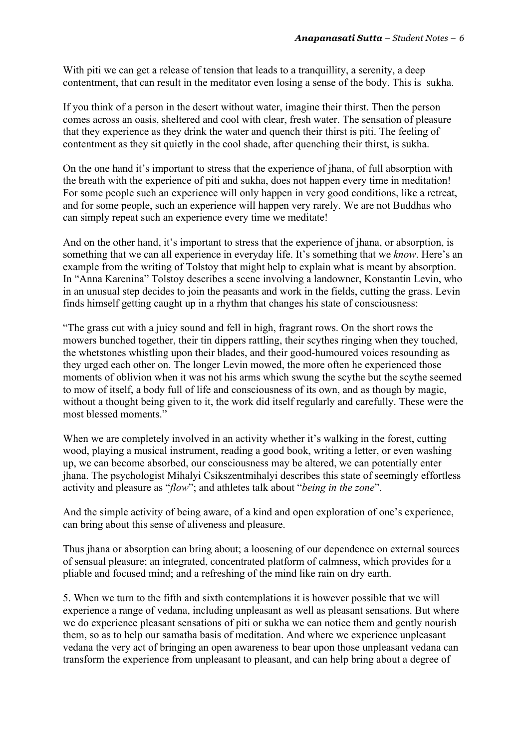With piti we can get a release of tension that leads to a tranquillity, a serenity, a deep contentment, that can result in the meditator even losing a sense of the body. This is sukha.

If you think of a person in the desert without water, imagine their thirst. Then the person comes across an oasis, sheltered and cool with clear, fresh water. The sensation of pleasure that they experience as they drink the water and quench their thirst is piti. The feeling of contentment as they sit quietly in the cool shade, after quenching their thirst, is sukha.

On the one hand it's important to stress that the experience of jhana, of full absorption with the breath with the experience of piti and sukha, does not happen every time in meditation! For some people such an experience will only happen in very good conditions, like a retreat, and for some people, such an experience will happen very rarely. We are not Buddhas who can simply repeat such an experience every time we meditate!

And on the other hand, it's important to stress that the experience of jhana, or absorption, is something that we can all experience in everyday life. It's something that we *know*. Here's an example from the writing of Tolstoy that might help to explain what is meant by absorption. In "Anna Karenina" Tolstoy describes a scene involving a landowner, Konstantin Levin, who in an unusual step decides to join the peasants and work in the fields, cutting the grass. Levin finds himself getting caught up in a rhythm that changes his state of consciousness:

"The grass cut with a juicy sound and fell in high, fragrant rows. On the short rows the mowers bunched together, their tin dippers rattling, their scythes ringing when they touched, the whetstones whistling upon their blades, and their good-humoured voices resounding as they urged each other on. The longer Levin mowed, the more often he experienced those moments of oblivion when it was not his arms which swung the scythe but the scythe seemed to mow of itself, a body full of life and consciousness of its own, and as though by magic, without a thought being given to it, the work did itself regularly and carefully. These were the most blessed moments."

When we are completely involved in an activity whether it's walking in the forest, cutting wood, playing a musical instrument, reading a good book, writing a letter, or even washing up, we can become absorbed, our consciousness may be altered, we can potentially enter jhana. The psychologist Mihalyi Csikszentmihalyi describes this state of seemingly effortless activity and pleasure as "*flow*"; and athletes talk about "*being in the zone*".

And the simple activity of being aware, of a kind and open exploration of one's experience, can bring about this sense of aliveness and pleasure.

Thus jhana or absorption can bring about; a loosening of our dependence on external sources of sensual pleasure; an integrated, concentrated platform of calmness, which provides for a pliable and focused mind; and a refreshing of the mind like rain on dry earth.

5. When we turn to the fifth and sixth contemplations it is however possible that we will experience a range of vedana, including unpleasant as well as pleasant sensations. But where we do experience pleasant sensations of piti or sukha we can notice them and gently nourish them, so as to help our samatha basis of meditation. And where we experience unpleasant vedana the very act of bringing an open awareness to bear upon those unpleasant vedana can transform the experience from unpleasant to pleasant, and can help bring about a degree of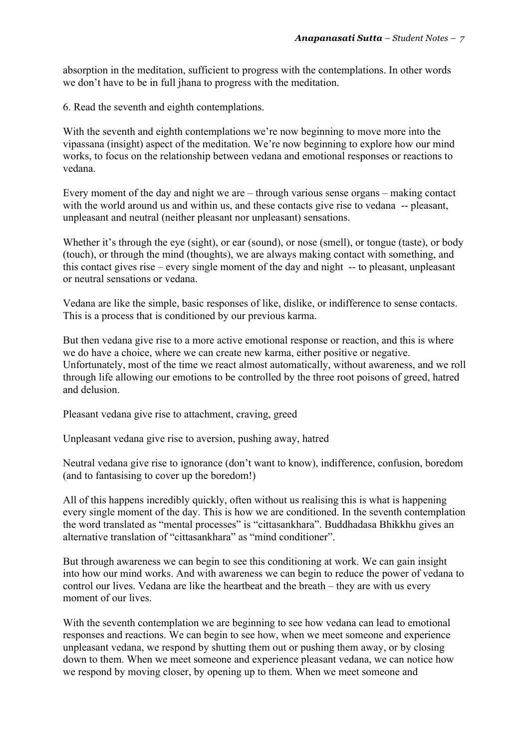absorption in the meditation, sufficient to progress with the contemplations. In other words we don't have to be in full jhana to progress with the meditation.

6. Read the seventh and eighth contemplations.

With the seventh and eighth contemplations we're now beginning to move more into the vipassana (insight) aspect of the meditation. We're now beginning to explore how our mind works, to focus on the relationship between vedana and emotional responses or reactions to vedana.

Every moment of the day and night we are – through various sense organs – making contact with the world around us and within us, and these contacts give rise to vedana -- pleasant, unpleasant and neutral (neither pleasant nor unpleasant) sensations.

Whether it's through the eye (sight), or ear (sound), or nose (smell), or tongue (taste), or body (touch), or through the mind (thoughts), we are always making contact with something, and this contact gives rise – every single moment of the day and night -- to pleasant, unpleasant or neutral sensations or vedana.

Vedana are like the simple, basic responses of like, dislike, or indifference to sense contacts. This is a process that is conditioned by our previous karma.

But then vedana give rise to a more active emotional response or reaction, and this is where we do have a choice, where we can create new karma, either positive or negative. Unfortunately, most of the time we react almost automatically, without awareness, and we roll through life allowing our emotions to be controlled by the three root poisons of greed, hatred and delusion.

Pleasant vedana give rise to attachment, craving, greed

Unpleasant vedana give rise to aversion, pushing away, hatred

Neutral vedana give rise to ignorance (don't want to know), indifference, confusion, boredom (and to fantasising to cover up the boredom!)

All of this happens incredibly quickly, often without us realising this is what is happening every single moment of the day. This is how we are conditioned. In the seventh contemplation the word translated as "mental processes" is "cittasankhara". Buddhadasa Bhikkhu gives an alternative translation of "cittasankhara" as "mind conditioner".

But through awareness we can begin to see this conditioning at work. We can gain insight into how our mind works. And with awareness we can begin to reduce the power of vedana to control our lives. Vedana are like the heartbeat and the breath – they are with us every moment of our lives.

With the seventh contemplation we are beginning to see how vedana can lead to emotional responses and reactions. We can begin to see how, when we meet someone and experience unpleasant vedana, we respond by shutting them out or pushing them away, or by closing down to them. When we meet someone and experience pleasant vedana, we can notice how we respond by moving closer, by opening up to them. When we meet someone and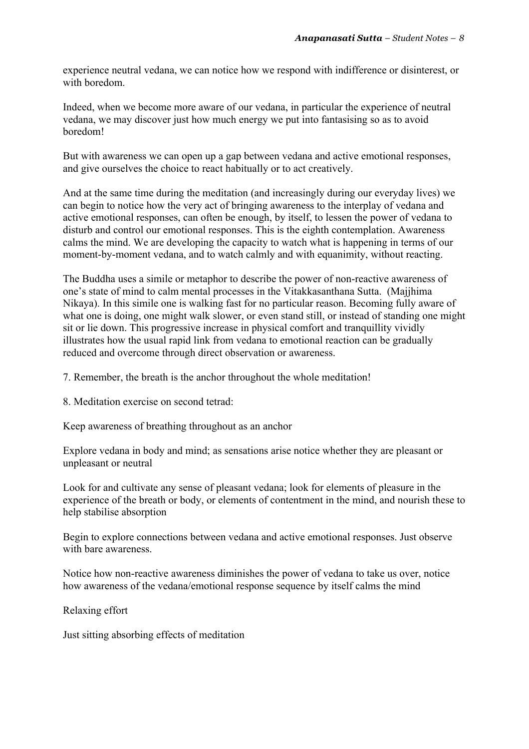experience neutral vedana, we can notice how we respond with indifference or disinterest, or with boredom.

Indeed, when we become more aware of our vedana, in particular the experience of neutral vedana, we may discover just how much energy we put into fantasising so as to avoid boredom!

But with awareness we can open up a gap between vedana and active emotional responses, and give ourselves the choice to react habitually or to act creatively.

And at the same time during the meditation (and increasingly during our everyday lives) we can begin to notice how the very act of bringing awareness to the interplay of vedana and active emotional responses, can often be enough, by itself, to lessen the power of vedana to disturb and control our emotional responses. This is the eighth contemplation. Awareness calms the mind. We are developing the capacity to watch what is happening in terms of our moment-by-moment vedana, and to watch calmly and with equanimity, without reacting.

The Buddha uses a simile or metaphor to describe the power of non-reactive awareness of one's state of mind to calm mental processes in the Vitakkasanthana Sutta. (Majjhima Nikaya). In this simile one is walking fast for no particular reason. Becoming fully aware of what one is doing, one might walk slower, or even stand still, or instead of standing one might sit or lie down. This progressive increase in physical comfort and tranquillity vividly illustrates how the usual rapid link from vedana to emotional reaction can be gradually reduced and overcome through direct observation or awareness.

7. Remember, the breath is the anchor throughout the whole meditation!

8. Meditation exercise on second tetrad:

Keep awareness of breathing throughout as an anchor

Explore vedana in body and mind; as sensations arise notice whether they are pleasant or unpleasant or neutral

Look for and cultivate any sense of pleasant vedana; look for elements of pleasure in the experience of the breath or body, or elements of contentment in the mind, and nourish these to help stabilise absorption

Begin to explore connections between vedana and active emotional responses. Just observe with bare awareness.

Notice how non-reactive awareness diminishes the power of vedana to take us over, notice how awareness of the vedana/emotional response sequence by itself calms the mind

Relaxing effort

Just sitting absorbing effects of meditation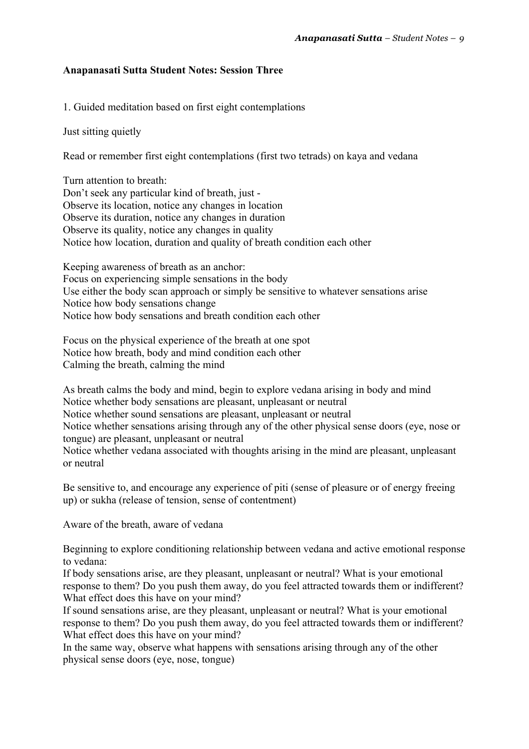# **Anapanasati Sutta Student Notes: Session Three**

1. Guided meditation based on first eight contemplations

Just sitting quietly

Read or remember first eight contemplations (first two tetrads) on kaya and vedana

Turn attention to breath: Don't seek any particular kind of breath, just - Observe its location, notice any changes in location Observe its duration, notice any changes in duration Observe its quality, notice any changes in quality Notice how location, duration and quality of breath condition each other

Keeping awareness of breath as an anchor: Focus on experiencing simple sensations in the body Use either the body scan approach or simply be sensitive to whatever sensations arise Notice how body sensations change Notice how body sensations and breath condition each other

Focus on the physical experience of the breath at one spot Notice how breath, body and mind condition each other Calming the breath, calming the mind

As breath calms the body and mind, begin to explore vedana arising in body and mind Notice whether body sensations are pleasant, unpleasant or neutral Notice whether sound sensations are pleasant, unpleasant or neutral Notice whether sensations arising through any of the other physical sense doors (eye, nose or tongue) are pleasant, unpleasant or neutral Notice whether vedana associated with thoughts arising in the mind are pleasant, unpleasant or neutral

Be sensitive to, and encourage any experience of piti (sense of pleasure or of energy freeing up) or sukha (release of tension, sense of contentment)

Aware of the breath, aware of vedana

Beginning to explore conditioning relationship between vedana and active emotional response to vedana:

If body sensations arise, are they pleasant, unpleasant or neutral? What is your emotional response to them? Do you push them away, do you feel attracted towards them or indifferent? What effect does this have on your mind?

If sound sensations arise, are they pleasant, unpleasant or neutral? What is your emotional response to them? Do you push them away, do you feel attracted towards them or indifferent? What effect does this have on your mind?

In the same way, observe what happens with sensations arising through any of the other physical sense doors (eye, nose, tongue)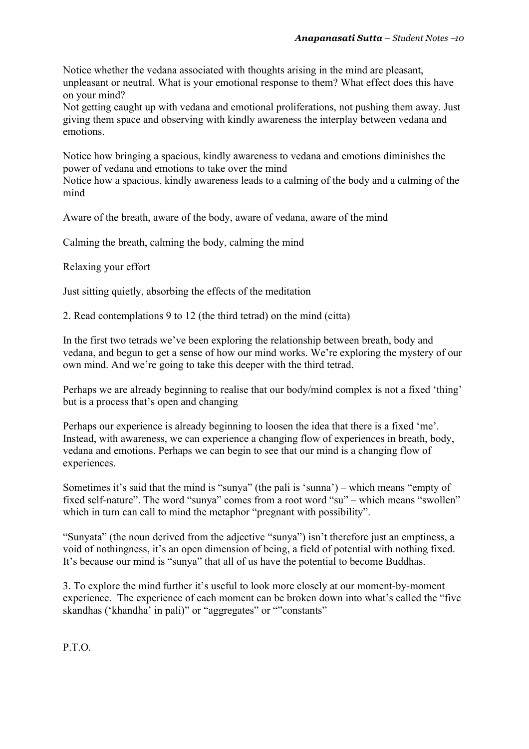Notice whether the vedana associated with thoughts arising in the mind are pleasant, unpleasant or neutral. What is your emotional response to them? What effect does this have on your mind?

Not getting caught up with vedana and emotional proliferations, not pushing them away. Just giving them space and observing with kindly awareness the interplay between vedana and emotions.

Notice how bringing a spacious, kindly awareness to vedana and emotions diminishes the power of vedana and emotions to take over the mind

Notice how a spacious, kindly awareness leads to a calming of the body and a calming of the mind

Aware of the breath, aware of the body, aware of vedana, aware of the mind

Calming the breath, calming the body, calming the mind

Relaxing your effort

Just sitting quietly, absorbing the effects of the meditation

2. Read contemplations 9 to 12 (the third tetrad) on the mind (citta)

In the first two tetrads we've been exploring the relationship between breath, body and vedana, and begun to get a sense of how our mind works. We're exploring the mystery of our own mind. And we're going to take this deeper with the third tetrad.

Perhaps we are already beginning to realise that our body/mind complex is not a fixed 'thing' but is a process that's open and changing

Perhaps our experience is already beginning to loosen the idea that there is a fixed 'me'. Instead, with awareness, we can experience a changing flow of experiences in breath, body, vedana and emotions. Perhaps we can begin to see that our mind is a changing flow of experiences.

Sometimes it's said that the mind is "sunya" (the pali is 'sunna') – which means "empty of fixed self-nature". The word "sunya" comes from a root word "su" – which means "swollen" which in turn can call to mind the metaphor "pregnant with possibility".

"Sunyata" (the noun derived from the adjective "sunya") isn't therefore just an emptiness, a void of nothingness, it's an open dimension of being, a field of potential with nothing fixed. It's because our mind is "sunya" that all of us have the potential to become Buddhas.

3. To explore the mind further it's useful to look more closely at our moment-by-moment experience. The experience of each moment can be broken down into what's called the "five skandhas ('khandha' in pali)" or "aggregates" or ""constants"

P.T.O.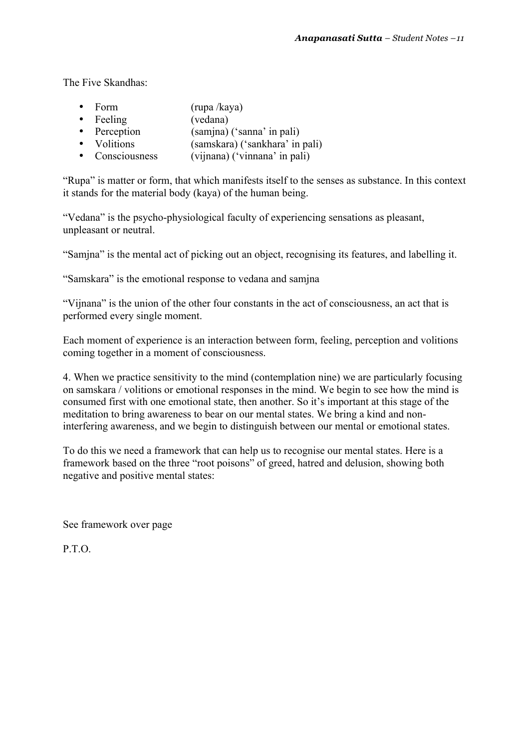The Five Skandhas:

- Form (rupa /kaya)
- Feeling (vedana)<br>• Perception (samjna)
- Perception (samjna) ('sanna' in pali)<br>• Volitions (samskara) ('sankhara' in
- Volitions (samskara) ('sankhara' in pali)<br>• Consciousness (viinana) ('vinnana' in pali)
- $(vijnana)$  ('vinnana' in pali)

"Rupa" is matter or form, that which manifests itself to the senses as substance. In this context it stands for the material body (kaya) of the human being.

"Vedana" is the psycho-physiological faculty of experiencing sensations as pleasant, unpleasant or neutral.

"Samjna" is the mental act of picking out an object, recognising its features, and labelling it.

"Samskara" is the emotional response to vedana and samjna

"Vijnana" is the union of the other four constants in the act of consciousness, an act that is performed every single moment.

Each moment of experience is an interaction between form, feeling, perception and volitions coming together in a moment of consciousness.

4. When we practice sensitivity to the mind (contemplation nine) we are particularly focusing on samskara / volitions or emotional responses in the mind. We begin to see how the mind is consumed first with one emotional state, then another. So it's important at this stage of the meditation to bring awareness to bear on our mental states. We bring a kind and noninterfering awareness, and we begin to distinguish between our mental or emotional states.

To do this we need a framework that can help us to recognise our mental states. Here is a framework based on the three "root poisons" of greed, hatred and delusion, showing both negative and positive mental states:

See framework over page

P.T.O.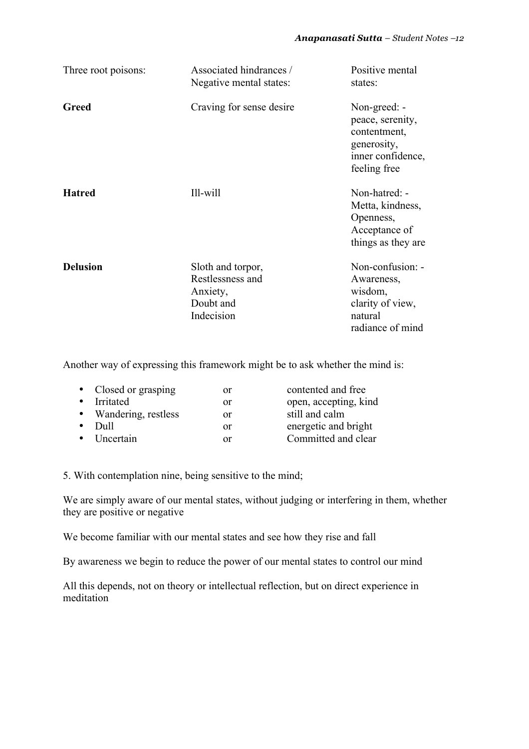| Three root poisons: | Associated hindrances /<br>Negative mental states:                           | Positive mental<br>states:                                                                           |
|---------------------|------------------------------------------------------------------------------|------------------------------------------------------------------------------------------------------|
| Greed               | Craving for sense desire                                                     | Non-greed: -<br>peace, serenity,<br>contentment,<br>generosity,<br>inner confidence,<br>feeling free |
| <b>Hatred</b>       | Ill-will                                                                     | Non-hatred: -<br>Metta, kindness,<br>Openness,<br>Acceptance of<br>things as they are                |
| <b>Delusion</b>     | Sloth and torpor,<br>Restlessness and<br>Anxiety,<br>Doubt and<br>Indecision | Non-confusion: -<br>Awareness,<br>wisdom,<br>clarity of view,<br>natural<br>radiance of mind         |

Another way of expressing this framework might be to ask whether the mind is:

| • Closed or grasping  | or | contented and free    |
|-----------------------|----|-----------------------|
| • Irritated           | or | open, accepting, kind |
| • Wandering, restless | or | still and calm        |
| – Dull                | or | energetic and bright  |
| • Uncertain           | or | Committed and clear   |
|                       |    |                       |

5. With contemplation nine, being sensitive to the mind;

We are simply aware of our mental states, without judging or interfering in them, whether they are positive or negative

We become familiar with our mental states and see how they rise and fall

By awareness we begin to reduce the power of our mental states to control our mind

All this depends, not on theory or intellectual reflection, but on direct experience in meditation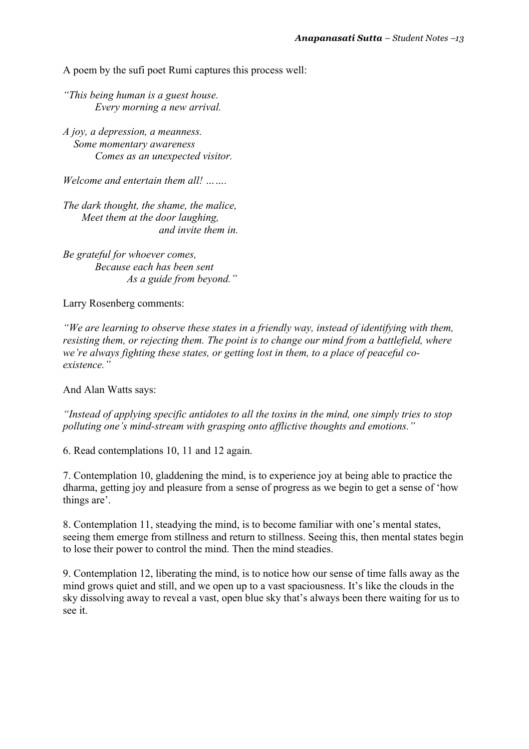A poem by the sufi poet Rumi captures this process well:

*"This being human is a guest house. Every morning a new arrival.*

*A joy, a depression, a meanness. Some momentary awareness Comes as an unexpected visitor.*

*Welcome and entertain them all! …….*

*The dark thought, the shame, the malice, Meet them at the door laughing, and invite them in.*

*Be grateful for whoever comes, Because each has been sent As a guide from beyond."*

Larry Rosenberg comments:

*"We are learning to observe these states in a friendly way, instead of identifying with them, resisting them, or rejecting them. The point is to change our mind from a battlefield, where we're always fighting these states, or getting lost in them, to a place of peaceful coexistence."*

And Alan Watts says:

*"Instead of applying specific antidotes to all the toxins in the mind, one simply tries to stop polluting one's mind-stream with grasping onto afflictive thoughts and emotions."*

6. Read contemplations 10, 11 and 12 again.

7. Contemplation 10, gladdening the mind, is to experience joy at being able to practice the dharma, getting joy and pleasure from a sense of progress as we begin to get a sense of 'how things are'.

8. Contemplation 11, steadying the mind, is to become familiar with one's mental states, seeing them emerge from stillness and return to stillness. Seeing this, then mental states begin to lose their power to control the mind. Then the mind steadies.

9. Contemplation 12, liberating the mind, is to notice how our sense of time falls away as the mind grows quiet and still, and we open up to a vast spaciousness. It's like the clouds in the sky dissolving away to reveal a vast, open blue sky that's always been there waiting for us to see it.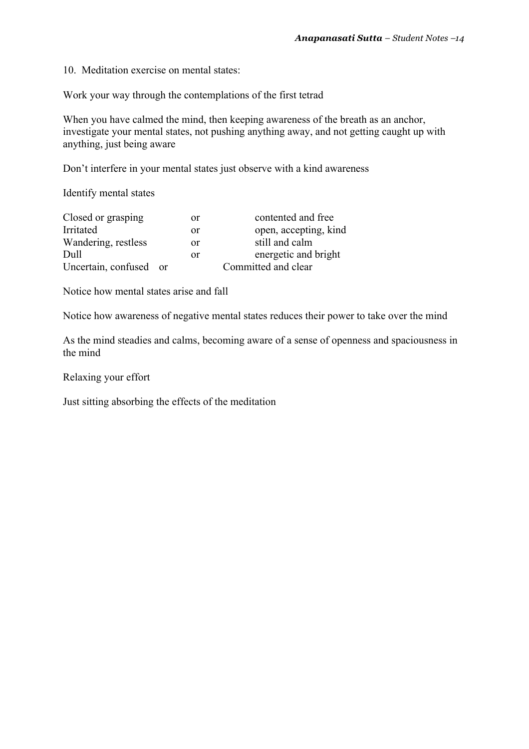10. Meditation exercise on mental states:

Work your way through the contemplations of the first tetrad

When you have calmed the mind, then keeping awareness of the breath as an anchor, investigate your mental states, not pushing anything away, and not getting caught up with anything, just being aware

Don't interfere in your mental states just observe with a kind awareness

Identify mental states

| Closed or grasping     | or | contented and free    |
|------------------------|----|-----------------------|
| Irritated              | or | open, accepting, kind |
| Wandering, restless    | or | still and calm        |
| Dull                   | or | energetic and bright  |
| Uncertain, confused or |    | Committed and clear   |

Notice how mental states arise and fall

Notice how awareness of negative mental states reduces their power to take over the mind

As the mind steadies and calms, becoming aware of a sense of openness and spaciousness in the mind

Relaxing your effort

Just sitting absorbing the effects of the meditation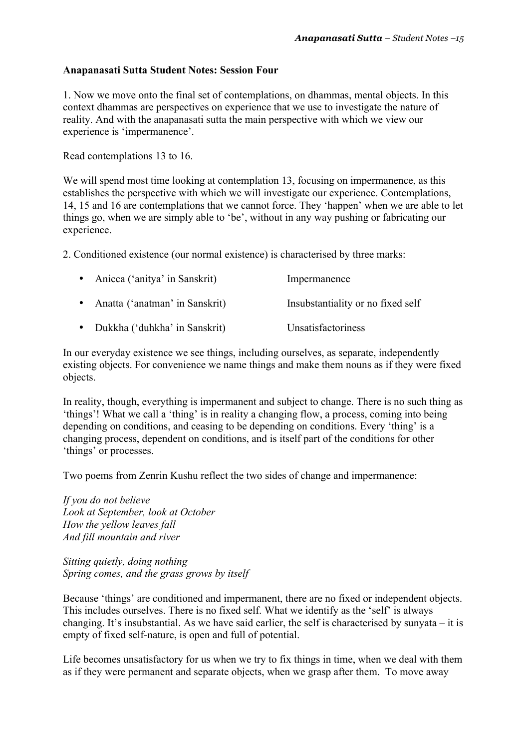### **Anapanasati Sutta Student Notes: Session Four**

1. Now we move onto the final set of contemplations, on dhammas, mental objects. In this context dhammas are perspectives on experience that we use to investigate the nature of reality. And with the anapanasati sutta the main perspective with which we view our experience is 'impermanence'.

Read contemplations 13 to 16.

We will spend most time looking at contemplation 13, focusing on impermanence, as this establishes the perspective with which we will investigate our experience. Contemplations, 14, 15 and 16 are contemplations that we cannot force. They 'happen' when we are able to let things go, when we are simply able to 'be', without in any way pushing or fabricating our experience.

2. Conditioned existence (our normal existence) is characterised by three marks:

| • Anicca ('anitya' in Sanskrit)  | Impermanence                      |
|----------------------------------|-----------------------------------|
| • Anatta ('anatman' in Sanskrit) | Insubstantiality or no fixed self |
| • Dukkha ('duhkha' in Sanskrit)  | Unsatisfactoriness                |

In our everyday existence we see things, including ourselves, as separate, independently existing objects. For convenience we name things and make them nouns as if they were fixed objects.

In reality, though, everything is impermanent and subject to change. There is no such thing as 'things'! What we call a 'thing' is in reality a changing flow, a process, coming into being depending on conditions, and ceasing to be depending on conditions. Every 'thing' is a changing process, dependent on conditions, and is itself part of the conditions for other 'things' or processes.

Two poems from Zenrin Kushu reflect the two sides of change and impermanence:

*If you do not believe Look at September, look at October How the yellow leaves fall And fill mountain and river*

*Sitting quietly, doing nothing Spring comes, and the grass grows by itself by*

Because 'things' are conditioned and impermanent, there are no fixed or independent objects. This includes ourselves. There is no fixed self. What we identify as the 'self' is always changing. It's insubstantial. As we have said earlier, the self is characterised by sunyata – it is empty of fixed self-nature, is open and full of potential.

Life becomes unsatisfactory for us when we try to fix things in time, when we deal with them as if they were permanent and separate objects, when we grasp after them. To move away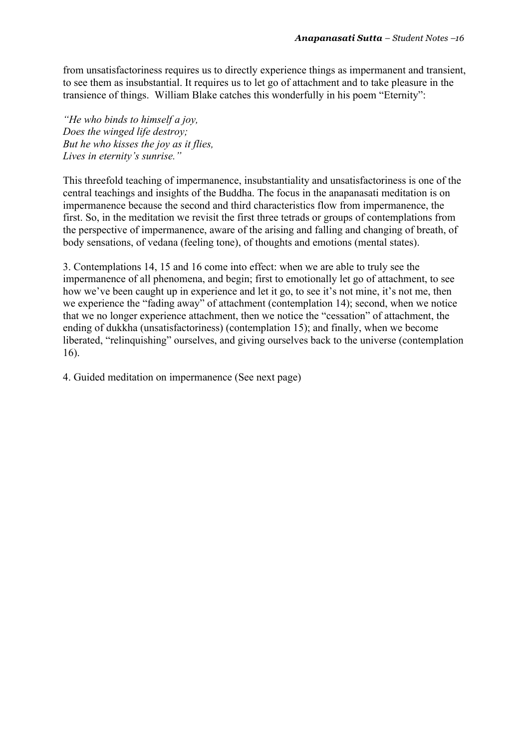from unsatisfactoriness requires us to directly experience things as impermanent and transient, to see them as insubstantial. It requires us to let go of attachment and to take pleasure in the transience of things. William Blake catches this wonderfully in his poem "Eternity":

*"He who binds to himself a joy, Does the winged life destroy; But he who kisses the joy as it flies, Lives in eternity's sunrise."*

This threefold teaching of impermanence, insubstantiality and unsatisfactoriness is one of the central teachings and insights of the Buddha. The focus in the anapanasati meditation is on impermanence because the second and third characteristics flow from impermanence, the first. So, in the meditation we revisit the first three tetrads or groups of contemplations from the perspective of impermanence, aware of the arising and falling and changing of breath, of body sensations, of vedana (feeling tone), of thoughts and emotions (mental states).

3. Contemplations 14, 15 and 16 come into effect: when we are able to truly see the impermanence of all phenomena, and begin; first to emotionally let go of attachment, to see how we've been caught up in experience and let it go, to see it's not mine, it's not me, then we experience the "fading away" of attachment (contemplation 14); second, when we notice that we no longer experience attachment, then we notice the "cessation" of attachment, the ending of dukkha (unsatisfactoriness) (contemplation 15); and finally, when we become liberated, "relinquishing" ourselves, and giving ourselves back to the universe (contemplation 16).

4. Guided meditation on impermanence (See next page)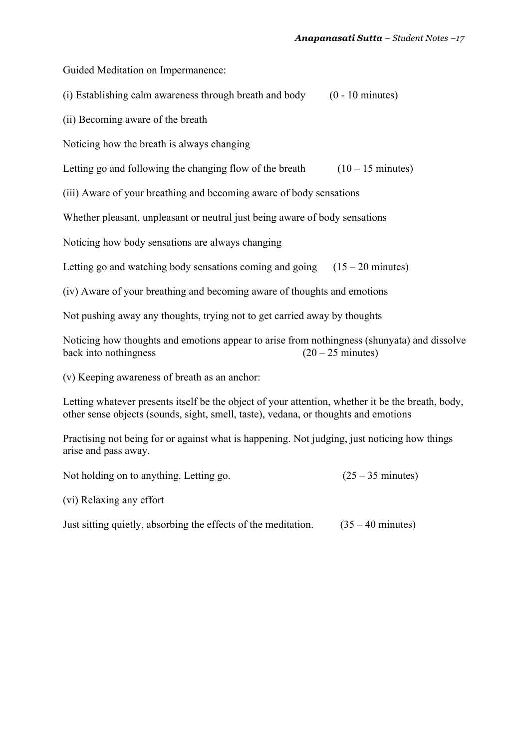Guided Meditation on Impermanence:

(i) Establishing calm awareness through breath and body  $(0 - 10 \text{ minutes})$ 

(ii) Becoming aware of the breath

Noticing how the breath is always changing

Letting go and following the changing flow of the breath  $(10 - 15 \text{ minutes})$ 

(iii) Aware of your breathing and becoming aware of body sensations

Whether pleasant, unpleasant or neutral just being aware of body sensations

Noticing how body sensations are always changing

Letting go and watching body sensations coming and going  $(15 - 20 \text{ minutes})$ 

(iv) Aware of your breathing and becoming aware of thoughts and emotions

Not pushing away any thoughts, trying not to get carried away by thoughts

Noticing how thoughts and emotions appear to arise from nothingness (shunyata) and dissolve back into nothingness  $(20 - 25 \text{ minutes})$ 

(v) Keeping awareness of breath as an anchor:

Letting whatever presents itself be the object of your attention, whether it be the breath, body, other sense objects (sounds, sight, smell, taste), vedana, or thoughts and emotions

Practising not being for or against what is happening. Not judging, just noticing how things arise and pass away.

Not holding on to anything. Letting go.  $(25 - 35 \text{ minutes})$ 

(vi) Relaxing any effort

Just sitting quietly, absorbing the effects of the meditation.  $(35 - 40 \text{ minutes})$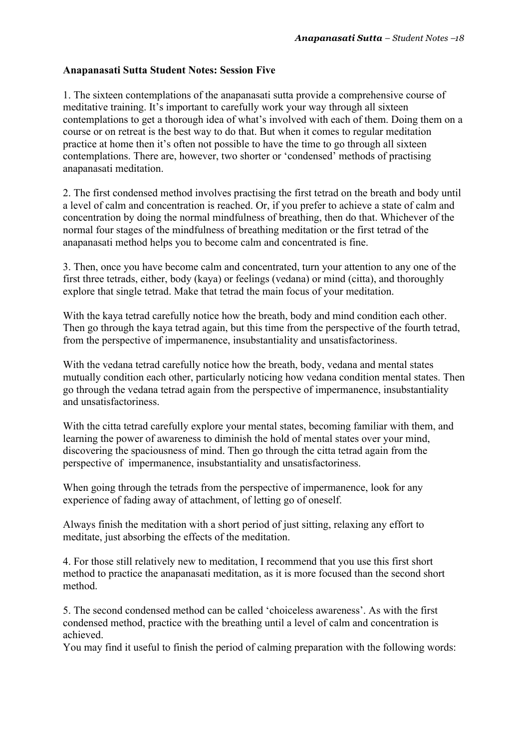# **Anapanasati Sutta Student Notes: Session Five**

1. The sixteen contemplations of the anapanasati sutta provide a comprehensive course of meditative training. It's important to carefully work your way through all sixteen contemplations to get a thorough idea of what's involved with each of them. Doing them on a course or on retreat is the best way to do that. But when it comes to regular meditation practice at home then it's often not possible to have the time to go through all sixteen contemplations. There are, however, two shorter or 'condensed' methods of practising anapanasati meditation.

2. The first condensed method involves practising the first tetrad on the breath and body until a level of calm and concentration is reached. Or, if you prefer to achieve a state of calm and concentration by doing the normal mindfulness of breathing, then do that. Whichever of the normal four stages of the mindfulness of breathing meditation or the first tetrad of the anapanasati method helps you to become calm and concentrated is fine.

3. Then, once you have become calm and concentrated, turn your attention to any one of the first three tetrads, either, body (kaya) or feelings (vedana) or mind (citta), and thoroughly explore that single tetrad. Make that tetrad the main focus of your meditation.

With the kaya tetrad carefully notice how the breath, body and mind condition each other. Then go through the kaya tetrad again, but this time from the perspective of the fourth tetrad, from the perspective of impermanence, insubstantiality and unsatisfactoriness.

With the vedana tetrad carefully notice how the breath, body, vedana and mental states mutually condition each other, particularly noticing how vedana condition mental states. Then go through the vedana tetrad again from the perspective of impermanence, insubstantiality and unsatisfactoriness.

With the citta tetrad carefully explore your mental states, becoming familiar with them, and learning the power of awareness to diminish the hold of mental states over your mind, discovering the spaciousness of mind. Then go through the citta tetrad again from the perspective of impermanence, insubstantiality and unsatisfactoriness.

When going through the tetrads from the perspective of impermanence, look for any experience of fading away of attachment, of letting go of oneself.

Always finish the meditation with a short period of just sitting, relaxing any effort to meditate, just absorbing the effects of the meditation.

4. For those still relatively new to meditation, I recommend that you use this first short method to practice the anapanasati meditation, as it is more focused than the second short method.

5. The second condensed method can be called 'choiceless awareness'. As with the first condensed method, practice with the breathing until a level of calm and concentration is achieved.

You may find it useful to finish the period of calming preparation with the following words: